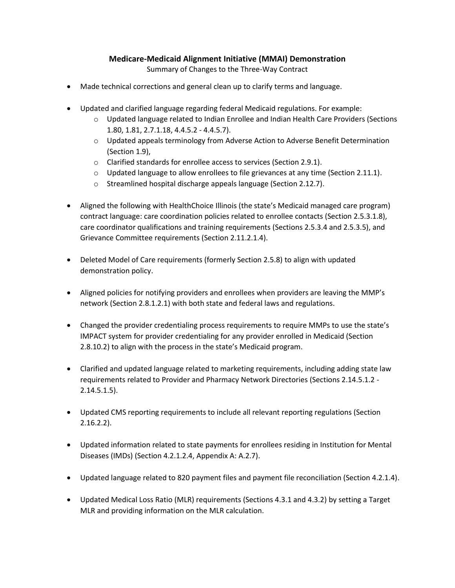## **Medicare-Medicaid Alignment Initiative (MMAI) Demonstration**

Summary of Changes to the Three-Way Contract

- Made technical corrections and general clean up to clarify terms and language.
- Updated and clarified language regarding federal Medicaid regulations. For example:
	- 1.80, 1.81, 2.7.1.18, 4.4.5.2 4.4.5.7). o Updated language related to Indian Enrollee and Indian Health Care Providers (Sections
	- o Updated appeals terminology from Adverse Action to Adverse Benefit Determination (Section 1.9),
	- $\circ$  Clarified standards for enrollee access to services (Section 2.9.1).
	- $\circ$  Updated language to allow enrollees to file grievances at any time (Section 2.11.1).
	- o Streamlined hospital discharge appeals language (Section 2.12.7).
- contract language: care coordination policies related to enrollee contacts (Section 2.5.3.1.8), Aligned the following with HealthChoice Illinois (the state's Medicaid managed care program) care coordinator qualifications and training requirements (Sections 2.5.3.4 and 2.5.3.5), and Grievance Committee requirements (Section 2.11.2.1.4).
- Deleted Model of Care requirements (formerly Section 2.5.8) to align with updated demonstration policy.
- network (Section 2.8.1.2.1) with both state and federal laws and regulations. Aligned policies for notifying providers and enrollees when providers are leaving the MMP's
- Changed the provider credentialing process requirements to require MMPs to use the state's IMPACT system for provider credentialing for any provider enrolled in Medicaid (Section 2.8.10.2) to align with the process in the state's Medicaid program.
- requirements related to Provider and Pharmacy Network Directories (Sections 2.14.5.1.2 Clarified and updated language related to marketing requirements, including adding state law 2.14.5.1.5).
- Updated CMS reporting requirements to include all relevant reporting regulations (Section 2.16.2.2).
- Diseases (IMDs) (Section 4.2.1.2.4, Appendix A: A.2.7). Updated information related to state payments for enrollees residing in Institution for Mental
- Updated language related to 820 payment files and payment file reconciliation (Section 4.2.1.4).
- Updated Medical Loss Ratio (MLR) requirements (Sections 4.3.1 and 4.3.2) by setting a Target MLR and providing information on the MLR calculation.